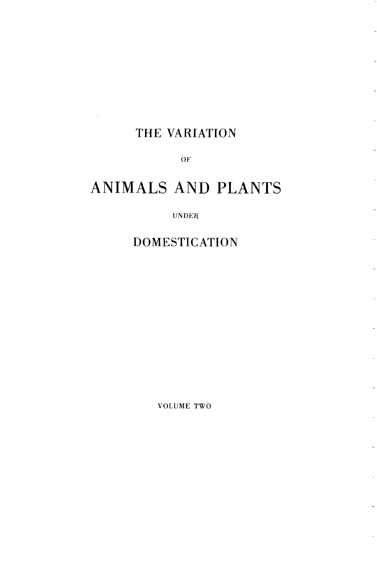# THE VARIATION

 $\overline{\phantom{a}}$ 

OF

# ANIMALS AND PLANTS

#### **UNDER**

**DOMESTICATION** 

VOLUME TWO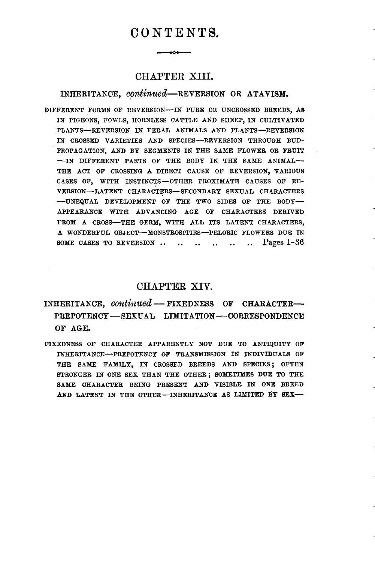## $C$ *0 NTENTS.*

## **CHAPTER** XIII.

## INHERITANCE, continued-REVERSION OR ATAVISM.

DIFFERENT FORMS OF REVERSION-IN PURE OR UNCROSSED BREEDS, AS IN PIGEONS, FOWLS, HORNLESS CATTLE AND SHEEP, IN CULTIVATED PLANTS-REVERSION IN FERAL ANIMALS AND PLANTS-REVERSION IN CROSSED VARIETIES AND SPECIES-REVERSION THROUGH BUD-PROPAGATION, AND BY SEGMENTS IN THE SAME FLOWER OR FRUIT -IN DIFFERENT PARTS OF THE BODY IN THE SAME ANIMAL-THE ACT OF CROSSING A DIRECT CAUSE OF REVERSION, VARIOUS CASES OF, WITH INSTINCTS-OTHER PROXIMATE CAUSES OF RE-VERSION-LATENT CHARACTERS-SECONDARY SEXUAL CHARACTERS -- UNEQUAL DEVELOPMENT OF THE TWO SIDES OF THE BODY-APPEARANCE WITH ADVANCING AGE **OF** CHARACTERS DERIVED FROM A CROSS-THE GERM, WITH ALL ITS LATENT CHARACTERS, A WONDERFUL **OBJECT-MONSTROSITIES-PELORIC** FLOWERS DUE IN SOME CASES TO REVERSION .. .. .. .. .. .. Pages 1-36

#### **CHAPTER** XIV.

INHERITANCE, *continued* - **FIXEDNESS** OF CHARACTER-PREPOTENCY-SEXUAL LIMITATION-CORRESPONDENCE **OF AGE.** 

FIXEDNESS OF CHARACTER APPARENTLY NOT DUE TO ANTIQUITY OF INHERITANCE-PREPOTENCY OF TRANSMISSION IN INDIVIDUALS OF THE SAME FAMILY, IN CROSSED BREEDS AND SPECIES; OFTEN STRONGER IN ONE SEX THAN THE OTHER; SOMETIMES DUE TO THE SAME CHARACTER BEING PRESENT AND VISISLE IN ONE BREED AND LATENT IN THE OTHER-INHERITANCE AS LIMITED BY SEX-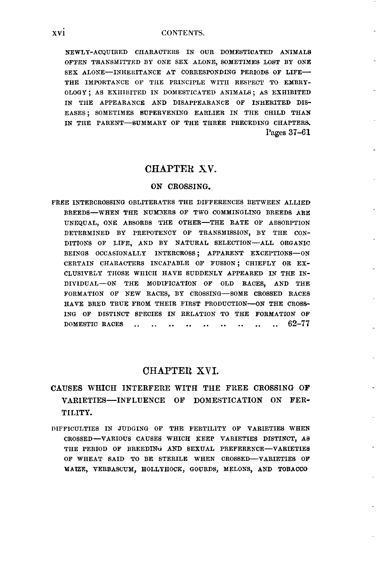NEWLY-ACQUIRED CHARACTERS IN OUR DOMESTICATED ANIMALS OFTEN TRANSMITTXD BY ONE SEX ALONE, SOMETIMES LOST BY ONE SEX ALONE-INHERITANCE AT CORRESPONDING PERIODS OF LIFE-THE IMPORTANCE OF THE PRINCIPLE WITH RESPECT TO EMBRY-OLOGY ; AS EXHIBITED IN DOMESTICATED ANIMALS ; AS EXHIBITED IN THE APPEARANCE AND DISAPPEARANCE OF INHERITED DIS-EASES; SOMETIMES SUPERVENING EARLIER IN THE CHILD THAN IN THE PARENT-SUMMARY OF THE THREE PRECEDING CHAPTERS. Pages 37-61

#### **CHAPTEB XV.**

#### **ON CROSSING.**

FREE INTERCROSSIBG OBLITERATES THE DIFFERENCES BETWEEN ALLIED BREEDS-WHEN THE NUM3ERS OF TWO COMMINGLING BREEDS ARE UNEQUAL, ONE ABSORBS THE OTHER-THE RATE OF ABSORPTION DETERMINED BY PREPOTENCY OF TRANSMISSION, By THE CON-DITIONS OF LIFE, AND BY NATURAL SELECTION-ALL ORGANIC BEINGS OCCASIONALLY INTERCROSS; APPARENT EXCEPTIONS-ON CERTAIN CHARACTERS INCAPABLE OF FUSION; CHIEFLY OR EX-CLUSIVELY THOSE WHICH HAVE SUDDENLY APPEARED IN THE IN-DIVIDUAL-ON THE MODIFICATION **OF** OLD RACES, AND THE FORMATION OF NEW RACES, BY CROSSING-SOME CROSSED RACES HAVE BRED TRUE FROM THEIR FIRST PRODUCTION-ON THE CROSS-ING OF DISTINCT SPECIES IN RELATION TO THE FORMATION OF DOMESTIC RACES .. .. .. .. .. .. .. .. 62-77

#### **CHAPTEIl XVI.**

- **CAUSE8 WHICH INTERFERE WITH THE FREE CROSSING OF VARIETIES-INFLUENCE OF DOMESTICATION ON FER-TILITY.**
- DIFFICULTIES IN JUDGING OF THE FERTILITY OF VARIETIES WHEN CROSSED-VARIOUS CAUSES WHICH KEEP VARIETIES DISTINCT, AS THE PERIOD OF BREEDING AND SEXUAL PREFERENCE-VARIETIES OF WHEAT SAID TO BE STERILE WHEN CROSSED-VARIETIES OF MAIZE, VERBASCUM, HOLLYHOCK, GOURDS, MELONS, AND TOBACCO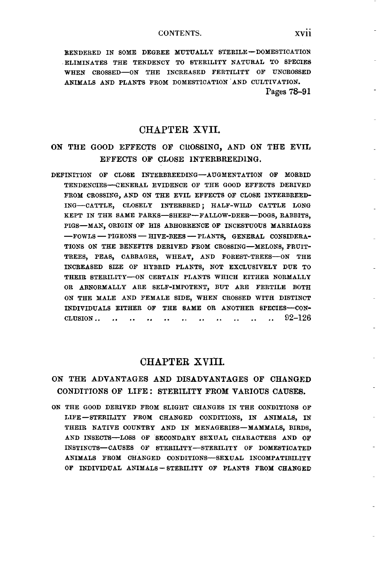RENDERED IN SOME DEGREE MUTUALLY STERILE-DOMESTICATION ELIMINATES THE TENDENCY TO STERILITY NATURAL TO SPECIES WHEN CROSSED-ON THE INCREASED FERTILITY OF UNCROSSED ANIMALS AND PLANTS FROM DOMESTICATION 'AND CULTIVATION. Pages **78-91** 

## CHAPTER **XVII.**

## ON THE GOOD EFFECTS OF CROSSING, AND ON THE EVIL **EFFECTS OF CLOSE INTERBREEDING.**

DEFINITION OF CLOSE INTERBREEDING-AUGMENTATION OF MORBID TENDENCIES-ENERAL EVIDENCE OF THE GOOD EFFECTS DERIVED FROM CROSSING, AND ON THE EVIL EFFECTS OF CLOSE INTERBREED-ING-CATTLE, CLOSELY INTERBRED ; HALF-WILD CATTLE LONG KEPT IN THE SAME PARKS-SHEEP-FALLOW-DEER-DOGS, RABBITS, PIGS-MAN, ORIGIN OF HIS ABHORRENCE **OF** INCESTUOUS MARRIAGES KEPT IN THE SAME PARKS—SHEEP—FALLOW-DEER—DOGS, RABBITS,<br>PIGS—MAN, ORIGIN OF HIS ABHORRENCE OF INCESTUOUS MARRIAGES<br>—FOWLS — PIGEONS — HIVE-BEES — PLANTS, GENERAL CONSIDERA-<br>—ISSUE AND RENDELLER PROTECTION CONSIDERA-TIONS ON THE BEKEFITS DERIVED FROM CROSSING-MELONS, FRUIT-TREES, PEAS, CABBAGES, WHEAT, AND FOREST-TREES-ON THE IKCREASED SIZE OF HYBRID PLANTS, NOT EXCLUSIVELY DUE TO THEIR STERILITY-ON CERTAIN PLANTS WHICH EITHER NORMALLY OR ABNORMALLY ARE SELF-IMPOTENT, BUT ARE FERTILE BOTH ON THE MALE AND FEMALE SIDE, WHEN CROSSED WITH DISTINCT INDIVIDUALS EITHER OF THE SAME OR ANOTHER SPECIES-CON-CLUSION . . . . . . . . . . . . . . . . . . . . . . **92-126** 

## CHAPTER **XVIII.**

### **ON THE ADVANTAGES AND DISADVANTAGES OF CHANGED CONDITIONS OF LIFE** : **STERILITY FROM VARIOUS CAUSES.**

ON THE GOOD DERIVED FROM SLIGHT CHANGES IN THE CONDITIONS OF LIFE -STERILITY FROM CHANGED CONDITIONS, IN ANIMALS, IN THEIR NATIVE COUNTRY AND IN MENAGERIES-MAMMALS, BIRDS, AND INSECTS-LOSS OF SECONDARY SEXUAL CHARACTERS AND OF INSTINCTS- CAUSES OF STERILITY-STERILITY OF DOMESTICATED ANIMALS FROM CHANGED CONDITIONS-SEXUAL INCOMPATIBILITY **OF** INDIVIDUAL ANIMALS - STERILITY OF PLANTS FROM CHANGED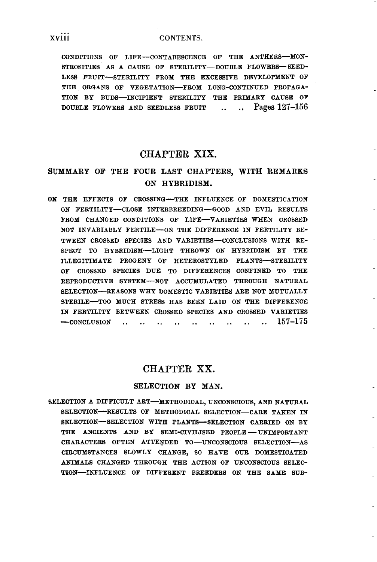#### **xviii CONTENTS.**

CONDITIONS OF LIFE-CONTABESCENCE OF THE ANTHERS-MON-STROSITIES AS A CAUSE OF STERILITY-DOUBLE FLOWERS-SEED-LESS FRUIT-STERILITY FROM THE EXCESSIVE DEVELOPMENT OF THE ORGANS OF VEGETATION-FROM LONG-CONTINUED PROPAGA-TION BY BUDS-INCIPIENT STERILITY THE PRIMARY CAUSE OF DOUBLE FLOWERS AND SEEDLESS FRUIT .. .. Pages **127-166** 

#### **CHAPTER XIX.**

## **SUMMARY OF THE FOUR LAST CHAPTEBS, WITH REMARKS ON HYBRIDISM.**

**ON** THE EFFECTS OF CROSSING-THE INFLUENCE OF DOMESTICATION ON FERTILITY-CLOSE INTERBREEDIXG-GOOD AND EVIL RESULTS FROM CHANGED CONDITIONS OF LIFE-VARIETIES WHEN CROSSED NOT INVARIABLY FERTILE-ON THE DIFFERENCE IN FERTILITY BE-TWEEN CROSSED SPECIES AND VARIETIES-CONCLUSIONS WITH RE-SPECT TO HYBRIDISM-LIGHT THROWN ON HYBRIDISM BY THE ILLEGITIMATE PROGENY OF HETEROSTYLED PLANTS-STERILITY **OF** CROSSED SPECIES DUE TO DIFFERENCES CONFINED TO THE REPRODUCTIVE SYSTEM--- NOT ACCUMULATED THROUGH NATURAL SELECTION-REASONS WHY DOMESTIC VARIETIES ARE NOT MUTUALLT STERILE-TOO MUCH STRESS HAS BEEN LAID ON THE DIFFERENCE IN FERTILITY BETWEEN CROSSED SPECIES AND CROSSED VARIETIES -CONCLUSION . . . . . . . . . . . . . . . . . . **157-1i5** 

#### **CHAPTER XX.**

#### **SELECTION BY MAN.**

SELECTION A DIFFICULT ART-METHODICAL, UNCONSCIOUS, AND NATURAL SELECTION-RESULTS OF METHODICAL SELECTION-CARE TAKEN IN SELECTION-SELECTION WITH PLANTS-SELECTION CARRIED ON BY THE ANCIENTS AND BY SEMI-CIVILISED PEOPLE - UNIMPORTANT CHARACTERS OFTEN ATTENDED TO-UNCONSCIOUS SELECTION-AS CIRCUMSTANCES SLOWLY CHANGE, SO HAVE *OUR* DOMESTICATED ANIMALS CHANGED THROUGH THE ACTION OF UNCONSCIOUS SELEC- TION-INFLUENCE OF DIFFERENT BREEDERS ON THE SAME SUB-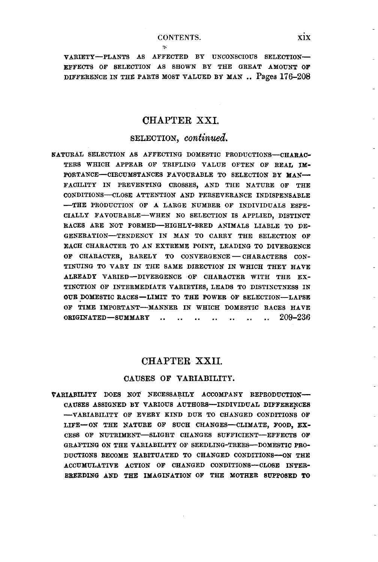#### **CONTENTS. xix**

*7,* 

VARIETY-PLANTS AS AFFECTED BY UNCONSCIOUS SELECTION-EFFECTS OF SELECTION AS **SHOWN** BY THE GREAT AMOUNT **OF**  DIFFERENCE IN THE PARTS MOST VALUED BY MAN .. Pages 176-208

## **CHAPTER XSI.**

#### **SELECTION,** *continued.*

NATURAL SELECTION AS AFFECTING DOMESTIC PRODUCTIONS-CHARAC-TERS WHICH APPEAR OF TRIFLING VALUE OFTEN OF REAL IM-PORTANCE-CIRCUMSTANCES FAVOURABLE TO SELECTION BY MAN-FACILITY IN PREVENTING CROSSES, AND THE NATURE **OF** THE CONDITIONS-CLOSE ATTENTION AND PERSEVERANCE INDISPENSABLE -THE PRODUCTION **OF** A LARGE NUMBER OF INDIVIDUALS ESPE-CIALLY FAVOURABLE-WHEN NO SELECTION IS APPLIED, DISTINCT RACES ARE NOT FORMED-HIGHLY-BRED ANIMALS LIABLE TO DE-GENERATION-TENDENCY IN MAN TO CARRY THE SELECTION OF EACH CHARACTER TO AX EXTREME POINT, LEADING TO DIVERGENCE OF CHARACTER, RARELY TO CONVERGENCE - CHARACTERS CON-TINUING TO VARY IN THE SAME DIRECTION IN WHICH THEY HAVE ALREADY VARIED-DIVERGENCE OF CHARACTER WITH THE EX-TINCTION OF INTERMEDIATE VARIETIES, LEADS TO DISTIXCTNESS IN OUR DOMESTIC RACES-LIMIT TO THE POWER OF SELECTION-LAPSE **OF** TIME IMPORTANT-MANNER IN WHICH DOMESTIC RACES HAVE ORIGINATED-SUMMARY .. .. .. .. .. .. .. **209-236** 

#### **CHAPTER** XXII.

#### **CAUSES OF VARIABILITY.**

VARIABILITY DOES NOT NECESSARILY ACCOMPANY REPRODUCTIOX-CAUSES ASSIGNED BY VARIOUS AUTHORS--INDIVIDUAL DIFFERENCES -VARIABILITY **OF** EVERY KIND DUE TO CHANGED CONDITIONS **OF**  LIFE-ON THE NATURE OF SUCH CHANGES-CLIMATE, FOOD, EX-CESS OF NUTRIMENT-SLIGHT CHANGES SUFFICIENT-EFFECTS **OF**  GRAFTING ON THE VARIABILITY OF SEEDLING-TREES-DOMESTIC PRO-DUCTIONS BECOME HABITUATED TO CHANGED CONDITIONS--ON THE ACCUMULATIVE ACTION **OF** CHANGED CONDITIONS-CLOSI **INTER-BREEDING** AND THE IMAGINATION **OF** THE MOTHER SEPPOSED TO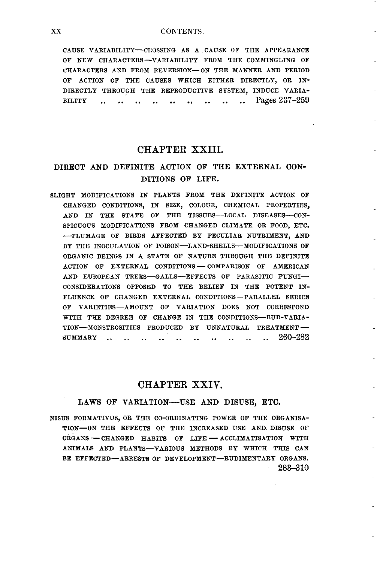#### **xx** CONTENTS.

CAUSE VARIABILITY-CEOSSIXG AS A CAUSE OF THE APPEARANCE OF NEW CHARACTERS-VARIABILITY FROM THE COMMINGLING OF CHARACTERS AND FROM REVERSION-ON THE MANNER AND PERIOD OF ACTION OF THE CAUSES WHICH EITHER DIRECTLY, OR IN-DIRECTLY THROUGH THE REPRODUCTIVE SYSTEM, INDUCE VARIA-BILITY ............................ Pages 237-259

#### **CHAPTER** XXIII.

## **DIRECT AND DEFINITE ACTION OF THE EXTERNAL CON-DITIONS OF LIFE.**

BLIGHT MODIFICATIONS IN PLANTS FROM THE DEFINITE ACTION OF CHANGED CONDITIONS, IN SIZE, COLOUR, CHEMICAL PROPERTIES, AND IN THE STATE OF THE TISSUES--LOCAL DISEASES--CON-SPICUOUS MODIFICATIONS FROM CHANGED CLIMATE OR FOOD, ETC. -PLUMAGE OF BIRDS AFFECTED BY PECULIAR NUTRIMENT, AND BY THE INOCULATION OF POISON-LAND-SHELLS-MODIFICATIONS OF ORGANIC BEINGS IN A STATE OF NATURE THROUGH THE DEFINITE ACTION OF EXTERNAL CONDITIONS - COMPARISON OF AMERICAN AND EUROPEAN TREES-GALLS-EFFECTS OF PARASITIC FUNGI-CONSIDERATIONS OPPOSED TO THE BELIEF IN THE POTENT IN-<br>FLUENCE OF CHANGED EXTERNAL CONDITIONS-PARALLEL SERIES OF VARIETIES-AMOUNT OF VARIATION DOES NOT CORRESPOND WITH THE DEGREE OF CHANGE IN THE CONDITIONS-BUD-VARIA-TION-MONSTROSITIES PRODUCED BY UNNATURAL TREATMENT --<br>SUMMARY .. .. .. .. .. .. .. .. .. .. 260-282  $SUMMARY$  .........

### **CHAPTER** XXIV.

#### **LAWS OF VARIATION-USE AND DISUSE, ETU.**

**NISUS** FORMATIVUS, OR THE CO-ORDINATING POWER OF THE ORGANISA-TION-ON THE EFFECTS OF THE INCREASED USE AND DISUSE OF US FORMATIVUS, OR THE CO-ORDINATING POWER OF THE ORGANISATION THE EFFECTS OF THE INCREASED USE AND DISUSE OF ORGANIS - CHANGED HABITS OF LIFE - ACCLIMATISATION WITH ANIMALS AND PLANTS-VARIOUS METHODS BY WHICH THIS CAX' BE EFFECTED-ARRESTS OF DEVELOPMENT-RUDIMENTARY ORGANS. **283-310**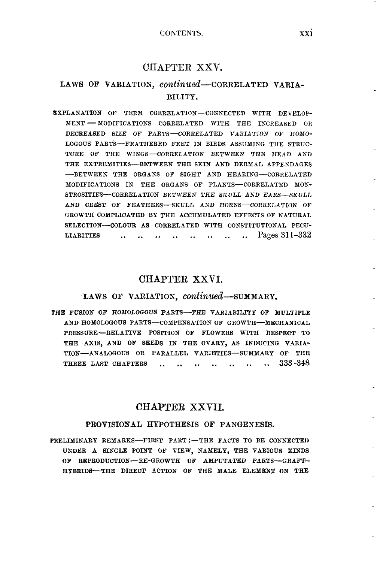## CHAPTER XXV.

## LAWS OF VARIATION, *continued*-CORRELATED VARIA-**BILITY.**

EXPLANATION OF TERM CORRELATIOX-CORNECTED WITH DEVELOP-MENT - MODIFICATIONS CORRELATED WITH THE INCREASED OR DECREASED **SEE** OF PARTS-CORRELATED VARIATION OF **HONO-**LOGOUS PARTS-FEATHERED FEET IN BIRDS ASSUMIXG THE STRUC-TURE OF THE WINGS-CORRELATION BETWEEN THE HEAD AND THE EXTREMITIES-BETWEEN THE SKIN AND DERMAL APPENDAGES -BETWEEN THE ORGANS OF SIGHT AND HEARING-CORRELATED MODIFICATIONS IN THE ORGANS OF PLANTS-CORRELATED **MOX-**STROSITIES-CORRELATION BETWEEN THE SKULL AND EARS-SKULL AND CREST OF FEATHERS-SKULL AND HORNS-CORRELATION OF GROWTH COMPLICATED BY THE ACCUMULATED EFFECTS OF NATURAL SELECTION-COLOUR AS CORRELATED WITH CONSTITUTIONAL PECU-LIARITIES ................ Pages 31 **1-332** 

#### **CHAPTER XXVI.**

#### LAWS OF VARIATION, *continued*-SUMMARY.

THE FUSION OF HOMOLOGOUS PARTS-THE VARIABILITY OF MULTIPLE AND HOMOLOGOUS PARTS-COMPENSATION OF GROWTH-MECHANICAL PRESSURE -RELATIVE POSITION OF FLOWERS WlTH RESPECT TO THE AXIS, AND OF SEEDS IN THE OVARY, AS INDUCING VARIA-TION-ANALOGOUS OR PARALLEL VARIETIES-SUMMARY OF THE THREE LAST CHAPTERS .............. **<sup>333</sup>-348** 

## **CHAPTER XXVII.**

#### **PROVISIONAL HYPOTHESIS OF PANGENESIS.**

PRELIMINARY REMARKS-FIRST PART :- THE FACTS TO BE CONNECTED UNDER **A** SINGLE POINT OF VIEW, NAMELY, THE VARIOUS KINDS **OF** REPRODUCTION-RE-GROWTH OF AMPUTATED PARTS-GRAFT-HYBRIDS-THE DIBECT ACTION OF THE MALE ELEMENT ON THE